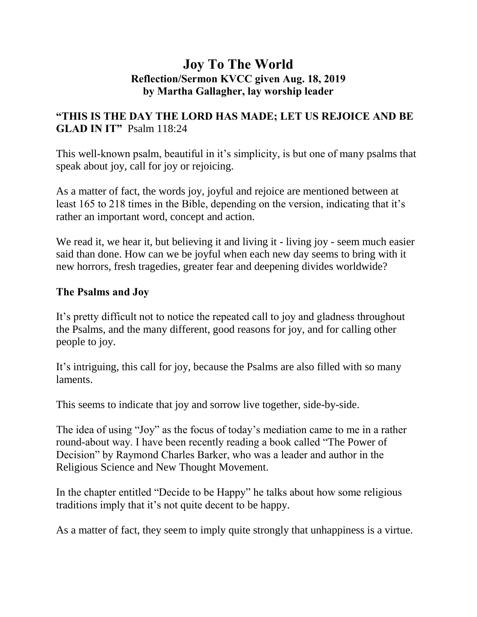## **Joy To The World Reflection/Sermon KVCC given Aug. 18, 2019 by Martha Gallagher, lay worship leader**

### **"THIS IS THE DAY THE LORD HAS MADE; LET US REJOICE AND BE GLAD IN IT"** Psalm 118:24

This well-known psalm, beautiful in it's simplicity, is but one of many psalms that speak about joy, call for joy or rejoicing.

As a matter of fact, the words joy, joyful and rejoice are mentioned between at least 165 to 218 times in the Bible, depending on the version, indicating that it's rather an important word, concept and action.

We read it, we hear it, but believing it and living it - living joy - seem much easier said than done. How can we be joyful when each new day seems to bring with it new horrors, fresh tragedies, greater fear and deepening divides worldwide?

#### **The Psalms and Joy**

It's pretty difficult not to notice the repeated call to joy and gladness throughout the Psalms, and the many different, good reasons for joy, and for calling other people to joy.

It's intriguing, this call for joy, because the Psalms are also filled with so many laments.

This seems to indicate that joy and sorrow live together, side-by-side.

The idea of using "Joy" as the focus of today's mediation came to me in a rather round-about way. I have been recently reading a book called "The Power of Decision" by Raymond Charles Barker, who was a leader and author in the Religious Science and New Thought Movement.

In the chapter entitled "Decide to be Happy" he talks about how some religious traditions imply that it's not quite decent to be happy.

As a matter of fact, they seem to imply quite strongly that unhappiness is a virtue.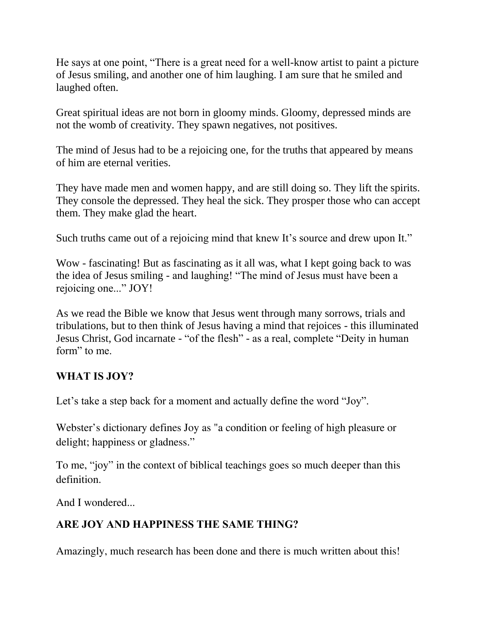He says at one point, "There is a great need for a well-know artist to paint a picture of Jesus smiling, and another one of him laughing. I am sure that he smiled and laughed often.

Great spiritual ideas are not born in gloomy minds. Gloomy, depressed minds are not the womb of creativity. They spawn negatives, not positives.

The mind of Jesus had to be a rejoicing one, for the truths that appeared by means of him are eternal verities.

They have made men and women happy, and are still doing so. They lift the spirits. They console the depressed. They heal the sick. They prosper those who can accept them. They make glad the heart.

Such truths came out of a rejoicing mind that knew It's source and drew upon It."

Wow - fascinating! But as fascinating as it all was, what I kept going back to was the idea of Jesus smiling - and laughing! "The mind of Jesus must have been a rejoicing one..." JOY!

As we read the Bible we know that Jesus went through many sorrows, trials and tribulations, but to then think of Jesus having a mind that rejoices - this illuminated Jesus Christ, God incarnate - "of the flesh" - as a real, complete "Deity in human form" to me.

### **WHAT IS JOY?**

Let's take a step back for a moment and actually define the word "Joy".

Webster's dictionary defines Joy as "a condition or feeling of high pleasure or delight; happiness or gladness."

To me, "joy" in the context of biblical teachings goes so much deeper than this definition.

And I wondered...

# **ARE JOY AND HAPPINESS THE SAME THING?**

Amazingly, much research has been done and there is much written about this!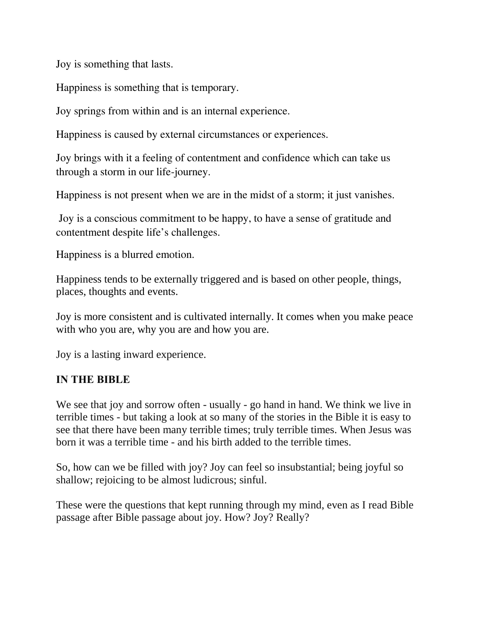Joy is something that lasts.

Happiness is something that is temporary.

Joy springs from within and is an internal experience.

Happiness is caused by external circumstances or experiences.

Joy brings with it a feeling of contentment and confidence which can take us through a storm in our life-journey.

Happiness is not present when we are in the midst of a storm; it just vanishes.

Joy is a conscious commitment to be happy, to have a sense of gratitude and contentment despite life's challenges.

Happiness is a blurred emotion.

Happiness tends to be externally triggered and is based on other people, things, places, thoughts and events.

Joy is more consistent and is cultivated internally. It comes when you make peace with who you are, why you are and how you are.

Joy is a lasting inward experience.

#### **IN THE BIBLE**

We see that joy and sorrow often - usually - go hand in hand. We think we live in terrible times - but taking a look at so many of the stories in the Bible it is easy to see that there have been many terrible times; truly terrible times. When Jesus was born it was a terrible time - and his birth added to the terrible times.

So, how can we be filled with joy? Joy can feel so insubstantial; being joyful so shallow; rejoicing to be almost ludicrous; sinful.

These were the questions that kept running through my mind, even as I read Bible passage after Bible passage about joy. How? Joy? Really?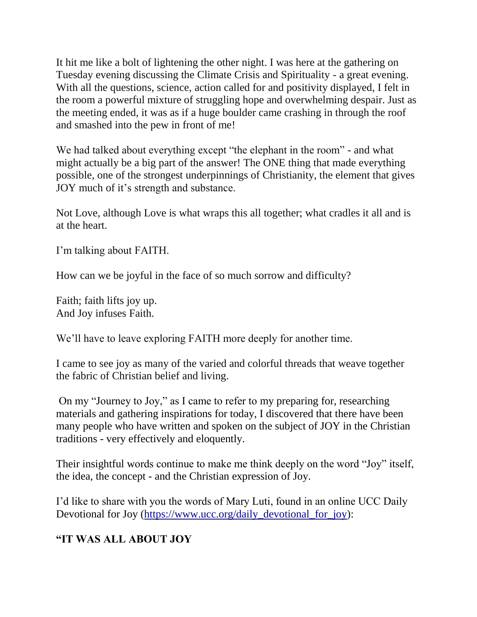It hit me like a bolt of lightening the other night. I was here at the gathering on Tuesday evening discussing the Climate Crisis and Spirituality - a great evening. With all the questions, science, action called for and positivity displayed, I felt in the room a powerful mixture of struggling hope and overwhelming despair. Just as the meeting ended, it was as if a huge boulder came crashing in through the roof and smashed into the pew in front of me!

We had talked about everything except "the elephant in the room" - and what might actually be a big part of the answer! The ONE thing that made everything possible, one of the strongest underpinnings of Christianity, the element that gives JOY much of it's strength and substance.

Not Love, although Love is what wraps this all together; what cradles it all and is at the heart.

I'm talking about FAITH.

How can we be joyful in the face of so much sorrow and difficulty?

Faith; faith lifts joy up. And Joy infuses Faith.

We'll have to leave exploring FAITH more deeply for another time.

I came to see joy as many of the varied and colorful threads that weave together the fabric of Christian belief and living.

On my "Journey to Joy," as I came to refer to my preparing for, researching materials and gathering inspirations for today, I discovered that there have been many people who have written and spoken on the subject of JOY in the Christian traditions - very effectively and eloquently.

Their insightful words continue to make me think deeply on the word "Joy" itself, the idea, the concept - and the Christian expression of Joy.

I'd like to share with you the words of Mary Luti, found in an online UCC Daily Devotional for Joy [\(https://www.ucc.org/daily\\_devotional\\_for\\_joy\)](https://www.ucc.org/daily_devotional_for_joy):

# **"IT WAS ALL ABOUT JOY**